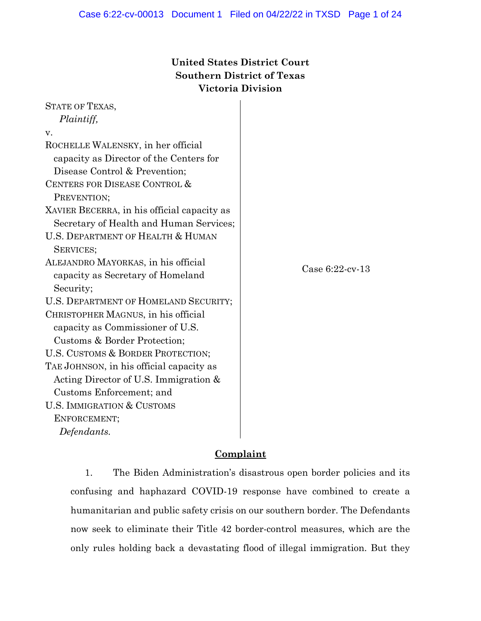# **United States District Court Southern District of Texas Victoria Division**

| <b>STATE OF TEXAS,</b>                      |                 |
|---------------------------------------------|-----------------|
| Plaintiff,                                  |                 |
| V.                                          |                 |
| ROCHELLE WALENSKY, in her official          |                 |
| capacity as Director of the Centers for     |                 |
| Disease Control & Prevention;               |                 |
| CENTERS FOR DISEASE CONTROL &               |                 |
| PREVENTION;                                 |                 |
| XAVIER BECERRA, in his official capacity as |                 |
| Secretary of Health and Human Services;     |                 |
| U.S. DEPARTMENT OF HEALTH & HUMAN           |                 |
| SERVICES;                                   |                 |
| ALEJANDRO MAYORKAS, in his official         | Case 6:22-cv-13 |
| capacity as Secretary of Homeland           |                 |
| Security;                                   |                 |
| U.S. DEPARTMENT OF HOMELAND SECURITY;       |                 |
| CHRISTOPHER MAGNUS, in his official         |                 |
| capacity as Commissioner of U.S.            |                 |
| Customs & Border Protection;                |                 |
| U.S. CUSTOMS & BORDER PROTECTION;           |                 |
| TAE JOHNSON, in his official capacity as    |                 |
| Acting Director of U.S. Immigration $\&$    |                 |
| Customs Enforcement; and                    |                 |
| <b>U.S. IMMIGRATION &amp; CUSTOMS</b>       |                 |
| ENFORCEMENT;                                |                 |
| Defendants.                                 |                 |
|                                             |                 |

# **Complaint**

1. The Biden Administration's disastrous open border policies and its confusing and haphazard COVID-19 response have combined to create a humanitarian and public safety crisis on our southern border. The Defendants now seek to eliminate their Title 42 border-control measures, which are the only rules holding back a devastating flood of illegal immigration. But they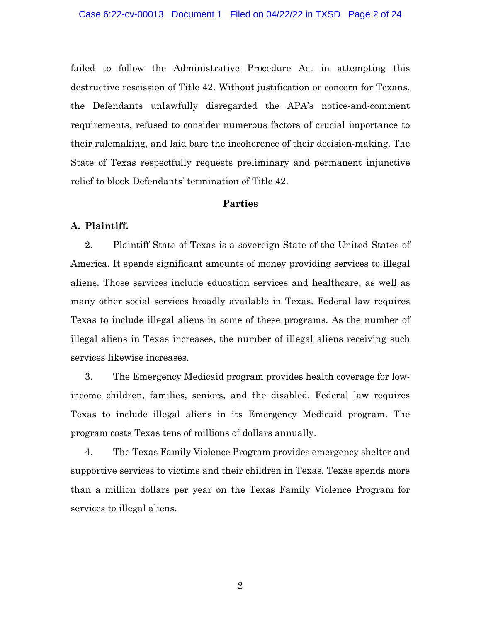failed to follow the Administrative Procedure Act in attempting this destructive rescission of Title 42. Without justification or concern for Texans, the Defendants unlawfully disregarded the APA's notice-and-comment requirements, refused to consider numerous factors of crucial importance to their rulemaking, and laid bare the incoherence of their decision-making. The State of Texas respectfully requests preliminary and permanent injunctive relief to block Defendants' termination of Title 42.

## **Parties**

## **A. Plaintiff.**

2. Plaintiff State of Texas is a sovereign State of the United States of America. It spends significant amounts of money providing services to illegal aliens. Those services include education services and healthcare, as well as many other social services broadly available in Texas. Federal law requires Texas to include illegal aliens in some of these programs. As the number of illegal aliens in Texas increases, the number of illegal aliens receiving such services likewise increases.

3. The Emergency Medicaid program provides health coverage for lowincome children, families, seniors, and the disabled. Federal law requires Texas to include illegal aliens in its Emergency Medicaid program. The program costs Texas tens of millions of dollars annually.

4. The Texas Family Violence Program provides emergency shelter and supportive services to victims and their children in Texas. Texas spends more than a million dollars per year on the Texas Family Violence Program for services to illegal aliens.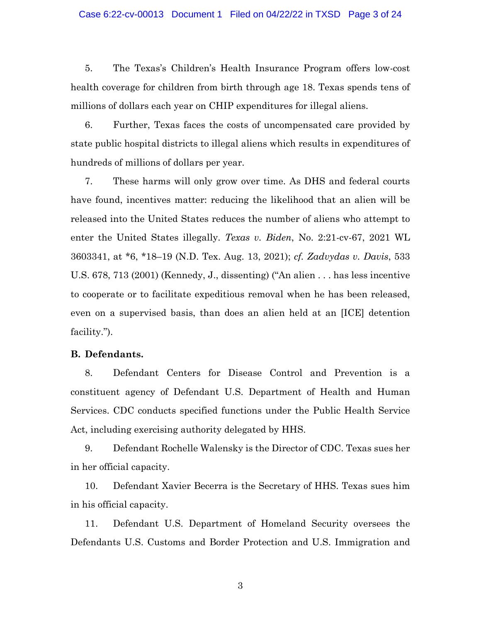#### Case 6:22-cv-00013 Document 1 Filed on 04/22/22 in TXSD Page 3 of 24

5. The Texas's Children's Health Insurance Program offers low-cost health coverage for children from birth through age 18. Texas spends tens of millions of dollars each year on CHIP expenditures for illegal aliens.

6. Further, Texas faces the costs of uncompensated care provided by state public hospital districts to illegal aliens which results in expenditures of hundreds of millions of dollars per year.

7. These harms will only grow over time. As DHS and federal courts have found, incentives matter: reducing the likelihood that an alien will be released into the United States reduces the number of aliens who attempt to enter the United States illegally. *Texas v. Biden*, No. 2:21-cv-67, 2021 WL 3603341, at \*6, \*18–19 (N.D. Tex. Aug. 13, 2021); *cf. Zadvydas v. Davis*, 533 U.S. 678, 713 (2001) (Kennedy, J., dissenting) ("An alien . . . has less incentive to cooperate or to facilitate expeditious removal when he has been released, even on a supervised basis, than does an alien held at an [ICE] detention facility.").

#### **B. Defendants.**

8. Defendant Centers for Disease Control and Prevention is a constituent agency of Defendant U.S. Department of Health and Human Services. CDC conducts specified functions under the Public Health Service Act, including exercising authority delegated by HHS.

9. Defendant Rochelle Walensky is the Director of CDC. Texas sues her in her official capacity.

10. Defendant Xavier Becerra is the Secretary of HHS. Texas sues him in his official capacity.

11. Defendant U.S. Department of Homeland Security oversees the Defendants U.S. Customs and Border Protection and U.S. Immigration and

3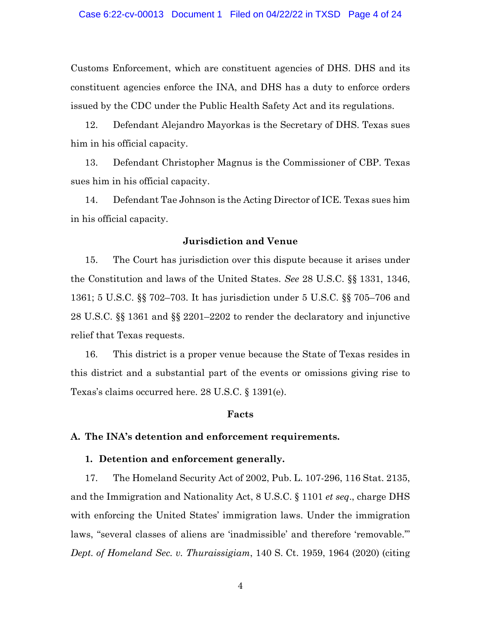Customs Enforcement, which are constituent agencies of DHS. DHS and its constituent agencies enforce the INA, and DHS has a duty to enforce orders issued by the CDC under the Public Health Safety Act and its regulations.

12. Defendant Alejandro Mayorkas is the Secretary of DHS. Texas sues him in his official capacity.

13. Defendant Christopher Magnus is the Commissioner of CBP. Texas sues him in his official capacity.

14. Defendant Tae Johnson is the Acting Director of ICE. Texas sues him in his official capacity.

## **Jurisdiction and Venue**

15. The Court has jurisdiction over this dispute because it arises under the Constitution and laws of the United States. *See* 28 U.S.C. §§ 1331, 1346, 1361; 5 U.S.C. §§ 702–703. It has jurisdiction under 5 U.S.C. §§ 705–706 and 28 U.S.C. §§ 1361 and §§ 2201–2202 to render the declaratory and injunctive relief that Texas requests.

16. This district is a proper venue because the State of Texas resides in this district and a substantial part of the events or omissions giving rise to Texas's claims occurred here. 28 U.S.C. § 1391(e).

#### **Facts**

#### **A. The INA's detention and enforcement requirements.**

#### **1. Detention and enforcement generally.**

17. The Homeland Security Act of 2002, Pub. L. 107-296, 116 Stat. 2135, and the Immigration and Nationality Act, 8 U.S.C. § 1101 *et seq*., charge DHS with enforcing the United States' immigration laws. Under the immigration laws, "several classes of aliens are 'inadmissible' and therefore 'removable.'" *Dept. of Homeland Sec. v. Thuraissigiam*, 140 S. Ct. 1959, 1964 (2020) (citing

4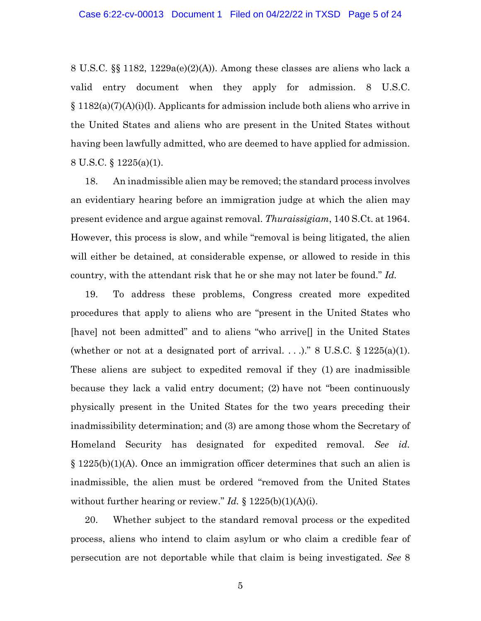8 U.S.C. §§ 1182, 1229a(e)(2)(A)). Among these classes are aliens who lack a valid entry document when they apply for admission. 8 U.S.C.  $\S 1182(a)(7)(A)(i)$ . Applicants for admission include both aliens who arrive in the United States and aliens who are present in the United States without having been lawfully admitted, who are deemed to have applied for admission. 8 U.S.C. § 1225(a)(1).

18. An inadmissible alien may be removed; the standard process involves an evidentiary hearing before an immigration judge at which the alien may present evidence and argue against removal. *Thuraissigiam*, 140 S.Ct. at 1964. However, this process is slow, and while "removal is being litigated, the alien will either be detained, at considerable expense, or allowed to reside in this country, with the attendant risk that he or she may not later be found." *Id.*

19. To address these problems, Congress created more expedited procedures that apply to aliens who are "present in the United States who [have] not been admitted" and to aliens "who arrive<sup>[]</sup> in the United States (whether or not at a designated port of arrival. . . .)." 8 U.S.C.  $\S 1225(a)(1)$ . These aliens are subject to expedited removal if they (1) are inadmissible because they lack a valid entry document; (2) have not "been continuously physically present in the United States for the two years preceding their inadmissibility determination; and (3) are among those whom the Secretary of Homeland Security has designated for expedited removal. *See id.* § 1225(b)(1)(A). Once an immigration officer determines that such an alien is inadmissible, the alien must be ordered "removed from the United States without further hearing or review." *Id.* § 1225(b)(1)(A)(i).

20. Whether subject to the standard removal process or the expedited process, aliens who intend to claim asylum or who claim a credible fear of persecution are not deportable while that claim is being investigated. *See* 8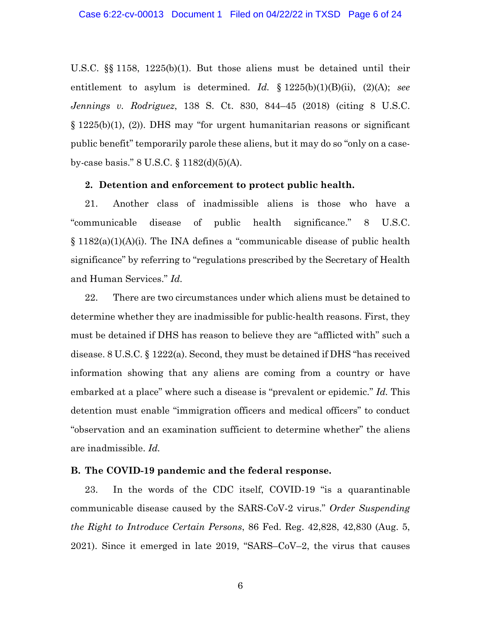U.S.C. §§ 1158, 1225(b)(1). But those aliens must be detained until their entitlement to asylum is determined. *Id.* § 1225(b)(1)(B)(ii), (2)(A); *see Jennings v. Rodriguez*, 138 S. Ct. 830, 844–45 (2018) (citing 8 U.S.C. § 1225(b)(1), (2)). DHS may "for urgent humanitarian reasons or significant public benefit" temporarily parole these aliens, but it may do so "only on a caseby-case basis." 8 U.S.C. § 1182(d)(5)(A).

#### **2. Detention and enforcement to protect public health.**

21. Another class of inadmissible aliens is those who have a "communicable disease of public health significance." 8 U.S.C. § 1182(a)(1)(A)(i). The INA defines a "communicable disease of public health significance" by referring to "regulations prescribed by the Secretary of Health and Human Services." *Id.*

22. There are two circumstances under which aliens must be detained to determine whether they are inadmissible for public-health reasons. First, they must be detained if DHS has reason to believe they are "afflicted with" such a disease. 8 U.S.C. § 1222(a). Second, they must be detained if DHS "has received information showing that any aliens are coming from a country or have embarked at a place" where such a disease is "prevalent or epidemic." *Id.* This detention must enable "immigration officers and medical officers" to conduct "observation and an examination sufficient to determine whether" the aliens are inadmissible. *Id.*

### **B. The COVID-19 pandemic and the federal response.**

23. In the words of the CDC itself, COVID-19 "is a quarantinable communicable disease caused by the SARS-CoV-2 virus." *Order Suspending the Right to Introduce Certain Persons*, 86 Fed. Reg. 42,828, 42,830 (Aug. 5, 2021). Since it emerged in late 2019, "SARS–CoV–2, the virus that causes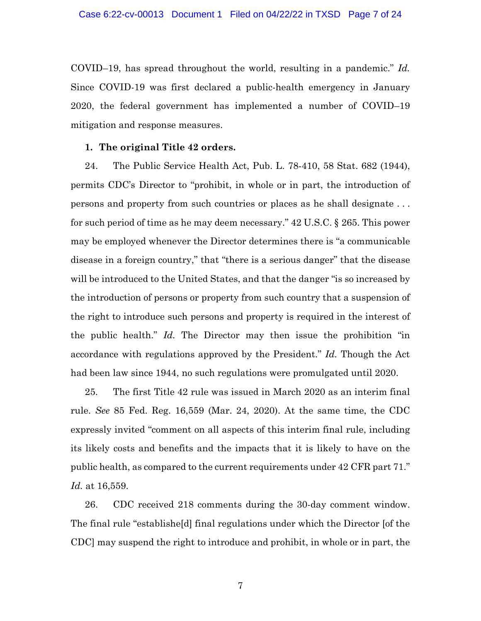COVID–19, has spread throughout the world, resulting in a pandemic." *Id.* Since COVID-19 was first declared a public-health emergency in January 2020, the federal government has implemented a number of COVID–19 mitigation and response measures.

#### **1. The original Title 42 orders.**

24. The Public Service Health Act, Pub. L. 78-410, 58 Stat. 682 (1944), permits CDC's Director to "prohibit, in whole or in part, the introduction of persons and property from such countries or places as he shall designate . . . for such period of time as he may deem necessary." 42 U.S.C. § 265. This power may be employed whenever the Director determines there is "a communicable disease in a foreign country," that "there is a serious danger" that the disease will be introduced to the United States, and that the danger "is so increased by the introduction of persons or property from such country that a suspension of the right to introduce such persons and property is required in the interest of the public health." *Id.* The Director may then issue the prohibition "in accordance with regulations approved by the President." *Id.* Though the Act had been law since 1944, no such regulations were promulgated until 2020.

25. The first Title 42 rule was issued in March 2020 as an interim final rule. *See* 85 Fed. Reg. 16,559 (Mar. 24, 2020). At the same time, the CDC expressly invited "comment on all aspects of this interim final rule, including its likely costs and benefits and the impacts that it is likely to have on the public health, as compared to the current requirements under 42 CFR part 71." *Id.* at 16,559.

26. CDC received 218 comments during the 30-day comment window. The final rule "establishe[d] final regulations under which the Director [of the CDC] may suspend the right to introduce and prohibit, in whole or in part, the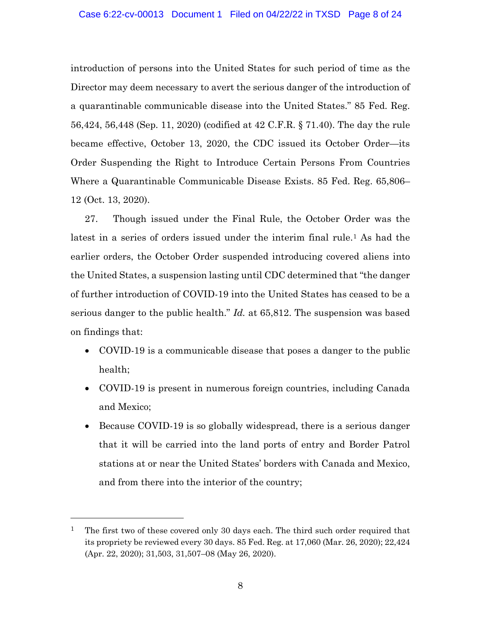introduction of persons into the United States for such period of time as the Director may deem necessary to avert the serious danger of the introduction of a quarantinable communicable disease into the United States." 85 Fed. Reg. 56,424, 56,448 (Sep. 11, 2020) (codified at 42 C.F.R. § 71.40). The day the rule became effective, October 13, 2020, the CDC issued its October Order—its Order Suspending the Right to Introduce Certain Persons From Countries Where a Quarantinable Communicable Disease Exists. 85 Fed. Reg. 65,806– 12 (Oct. 13, 2020).

27. Though issued under the Final Rule, the October Order was the latest in a series of orders issued under the interim final rule.[1](#page-7-0) As had the earlier orders, the October Order suspended introducing covered aliens into the United States, a suspension lasting until CDC determined that "the danger of further introduction of COVID-19 into the United States has ceased to be a serious danger to the public health." *Id.* at 65,812. The suspension was based on findings that:

- COVID-19 is a communicable disease that poses a danger to the public health;
- COVID-19 is present in numerous foreign countries, including Canada and Mexico;
- Because COVID-19 is so globally widespread, there is a serious danger that it will be carried into the land ports of entry and Border Patrol stations at or near the United States' borders with Canada and Mexico, and from there into the interior of the country;

<span id="page-7-0"></span><sup>1</sup> The first two of these covered only 30 days each. The third such order required that its propriety be reviewed every 30 days. 85 Fed. Reg. at 17,060 (Mar. 26, 2020); 22,424 (Apr. 22, 2020); 31,503, 31,507–08 (May 26, 2020).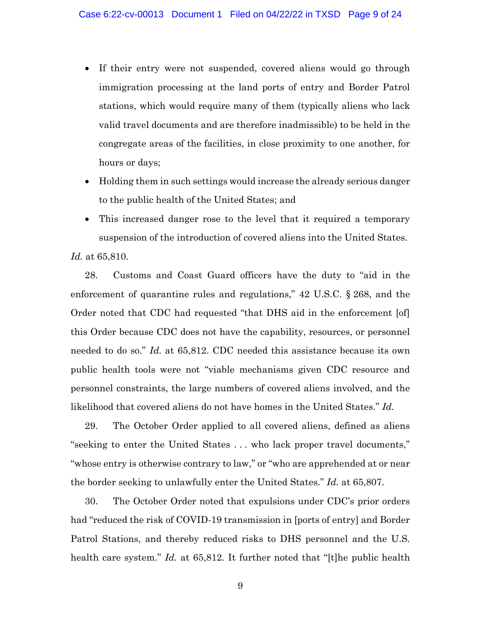- If their entry were not suspended, covered aliens would go through immigration processing at the land ports of entry and Border Patrol stations, which would require many of them (typically aliens who lack valid travel documents and are therefore inadmissible) to be held in the congregate areas of the facilities, in close proximity to one another, for hours or days;
- Holding them in such settings would increase the already serious danger to the public health of the United States; and
- This increased danger rose to the level that it required a temporary suspension of the introduction of covered aliens into the United States.

*Id.* at 65,810.

28. Customs and Coast Guard officers have the duty to "aid in the enforcement of quarantine rules and regulations," 42 U.S.C. § 268, and the Order noted that CDC had requested "that DHS aid in the enforcement [of] this Order because CDC does not have the capability, resources, or personnel needed to do so." *Id.* at 65,812. CDC needed this assistance because its own public health tools were not "viable mechanisms given CDC resource and personnel constraints, the large numbers of covered aliens involved, and the likelihood that covered aliens do not have homes in the United States." *Id.* 

29. The October Order applied to all covered aliens, defined as aliens "seeking to enter the United States . . . who lack proper travel documents," "whose entry is otherwise contrary to law," or "who are apprehended at or near the border seeking to unlawfully enter the United States." *Id.* at 65,807.

30. The October Order noted that expulsions under CDC's prior orders had "reduced the risk of COVID-19 transmission in [ports of entry] and Border Patrol Stations, and thereby reduced risks to DHS personnel and the U.S. health care system." *Id.* at 65,812. It further noted that "[t]he public health

9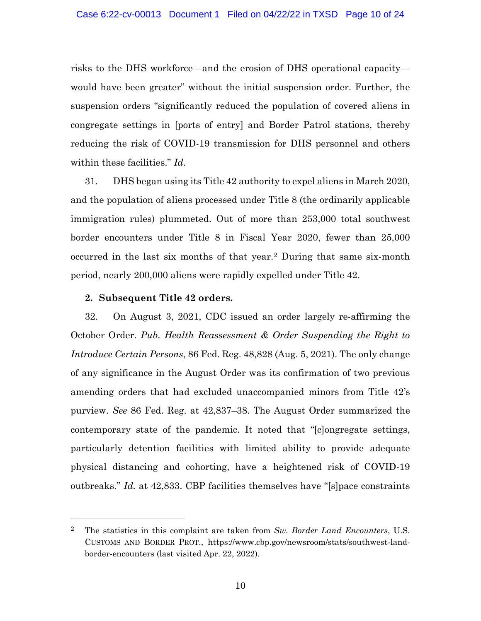risks to the DHS workforce—and the erosion of DHS operational capacity would have been greater" without the initial suspension order. Further, the suspension orders "significantly reduced the population of covered aliens in congregate settings in [ports of entry] and Border Patrol stations, thereby reducing the risk of COVID-19 transmission for DHS personnel and others within these facilities." *Id.* 

31. DHS began using its Title 42 authority to expel aliens in March 2020, and the population of aliens processed under Title 8 (the ordinarily applicable immigration rules) plummeted. Out of more than 253,000 total southwest border encounters under Title 8 in Fiscal Year 2020, fewer than 25,000 occurred in the last six months of that year.[2](#page-9-0) During that same six-month period, nearly 200,000 aliens were rapidly expelled under Title 42.

## **2. Subsequent Title 42 orders.**

32. On August 3, 2021, CDC issued an order largely re-affirming the October Order. *Pub. Health Reassessment & Order Suspending the Right to Introduce Certain Persons*, 86 Fed. Reg. 48,828 (Aug. 5, 2021). The only change of any significance in the August Order was its confirmation of two previous amending orders that had excluded unaccompanied minors from Title 42's purview. *See* 86 Fed. Reg. at 42,837–38. The August Order summarized the contemporary state of the pandemic. It noted that "[c]ongregate settings, particularly detention facilities with limited ability to provide adequate physical distancing and cohorting, have a heightened risk of COVID-19 outbreaks." *Id.* at 42,833. CBP facilities themselves have "[s]pace constraints

<span id="page-9-0"></span><sup>2</sup> The statistics in this complaint are taken from *Sw. Border Land Encounters*, U.S. CUSTOMS AND BORDER PROT., https://www.cbp.gov/newsroom/stats/southwest-landborder-encounters (last visited Apr. 22, 2022).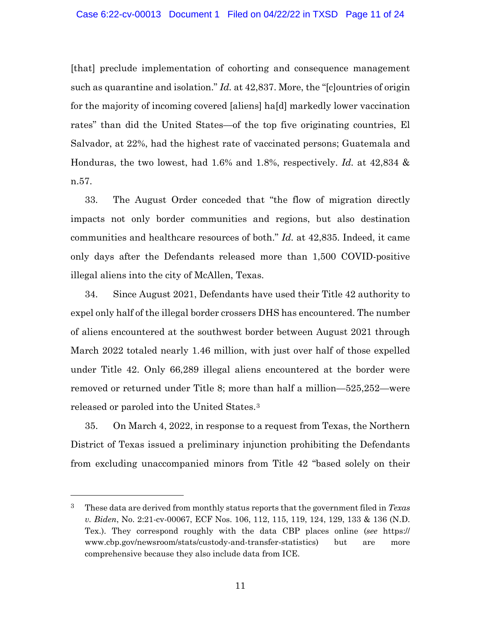[that] preclude implementation of cohorting and consequence management such as quarantine and isolation." *Id.* at 42,837. More, the "[c]ountries of origin for the majority of incoming covered [aliens] ha[d] markedly lower vaccination rates" than did the United States—of the top five originating countries, El Salvador, at 22%, had the highest rate of vaccinated persons; Guatemala and Honduras, the two lowest, had 1.6% and 1.8%, respectively. *Id.* at 42,834 & n.57.

33. The August Order conceded that "the flow of migration directly impacts not only border communities and regions, but also destination communities and healthcare resources of both." *Id.* at 42,835. Indeed, it came only days after the Defendants released more than 1,500 COVID-positive illegal aliens into the city of McAllen, Texas.

34. Since August 2021, Defendants have used their Title 42 authority to expel only half of the illegal border crossers DHS has encountered. The number of aliens encountered at the southwest border between August 2021 through March 2022 totaled nearly 1.46 million, with just over half of those expelled under Title 42. Only 66,289 illegal aliens encountered at the border were removed or returned under Title 8; more than half a million—525,252—were released or paroled into the United States.[3](#page-10-0)

35. On March 4, 2022, in response to a request from Texas, the Northern District of Texas issued a preliminary injunction prohibiting the Defendants from excluding unaccompanied minors from Title 42 "based solely on their

<span id="page-10-0"></span><sup>3</sup> These data are derived from monthly status reports that the government filed in *Texas v. Biden*, No. 2:21-cv-00067, ECF Nos. 106, 112, 115, 119, 124, 129, 133 & 136 (N.D. Tex.). They correspond roughly with the data CBP places online (*see* https:// www.cbp.gov/newsroom/stats/custody-and-transfer-statistics) but are more comprehensive because they also include data from ICE.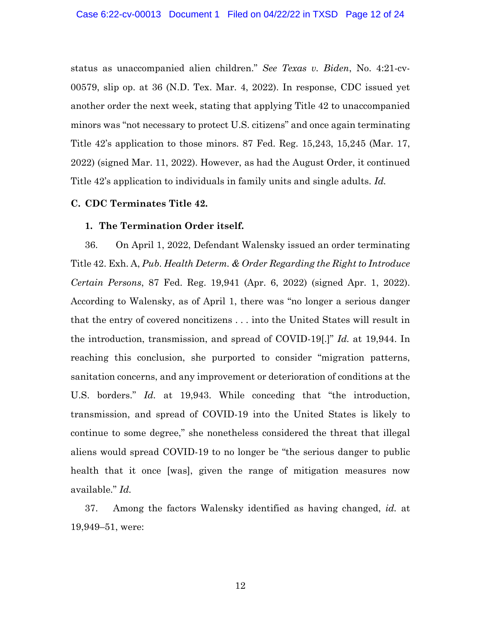status as unaccompanied alien children." *See Texas v. Biden*, No. 4:21-cv-00579, slip op. at 36 (N.D. Tex. Mar. 4, 2022). In response, CDC issued yet another order the next week, stating that applying Title 42 to unaccompanied minors was "not necessary to protect U.S. citizens" and once again terminating Title 42's application to those minors. 87 Fed. Reg. 15,243, 15,245 (Mar. 17, 2022) (signed Mar. 11, 2022). However, as had the August Order, it continued Title 42's application to individuals in family units and single adults. *Id.*

## **C. CDC Terminates Title 42.**

### **1. The Termination Order itself.**

36. On April 1, 2022, Defendant Walensky issued an order terminating Title 42. Exh. A, *Pub. Health Determ. & Order Regarding the Right to Introduce Certain Persons*, 87 Fed. Reg. 19,941 (Apr. 6, 2022) (signed Apr. 1, 2022). According to Walensky, as of April 1, there was "no longer a serious danger that the entry of covered noncitizens . . . into the United States will result in the introduction, transmission, and spread of COVID-19[.]" *Id.* at 19,944. In reaching this conclusion, she purported to consider "migration patterns, sanitation concerns, and any improvement or deterioration of conditions at the U.S. borders." *Id.* at 19,943. While conceding that "the introduction, transmission, and spread of COVID-19 into the United States is likely to continue to some degree," she nonetheless considered the threat that illegal aliens would spread COVID-19 to no longer be "the serious danger to public health that it once [was], given the range of mitigation measures now available." *Id.*

37. Among the factors Walensky identified as having changed, *id.* at 19,949–51, were: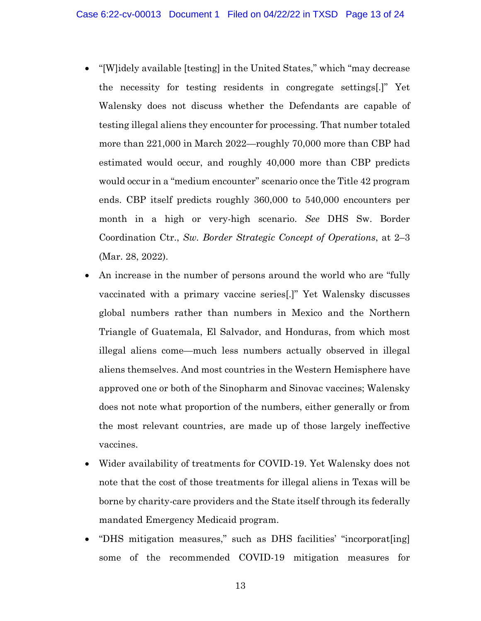- "[W]idely available [testing] in the United States," which "may decrease" the necessity for testing residents in congregate settings[.]" Yet Walensky does not discuss whether the Defendants are capable of testing illegal aliens they encounter for processing. That number totaled more than 221,000 in March 2022—roughly 70,000 more than CBP had estimated would occur, and roughly 40,000 more than CBP predicts would occur in a "medium encounter" scenario once the Title 42 program ends. CBP itself predicts roughly 360,000 to 540,000 encounters per month in a high or very-high scenario. *See* DHS Sw. Border Coordination Ctr., *Sw. Border Strategic Concept of Operations*, at 2–3 (Mar. 28, 2022).
- An increase in the number of persons around the world who are "fully" vaccinated with a primary vaccine series[.]" Yet Walensky discusses global numbers rather than numbers in Mexico and the Northern Triangle of Guatemala, El Salvador, and Honduras, from which most illegal aliens come—much less numbers actually observed in illegal aliens themselves. And most countries in the Western Hemisphere have approved one or both of the Sinopharm and Sinovac vaccines; Walensky does not note what proportion of the numbers, either generally or from the most relevant countries, are made up of those largely ineffective vaccines.
- Wider availability of treatments for COVID-19. Yet Walensky does not note that the cost of those treatments for illegal aliens in Texas will be borne by charity-care providers and the State itself through its federally mandated Emergency Medicaid program.
- "DHS mitigation measures," such as DHS facilities' "incorporat[ing] some of the recommended COVID-19 mitigation measures for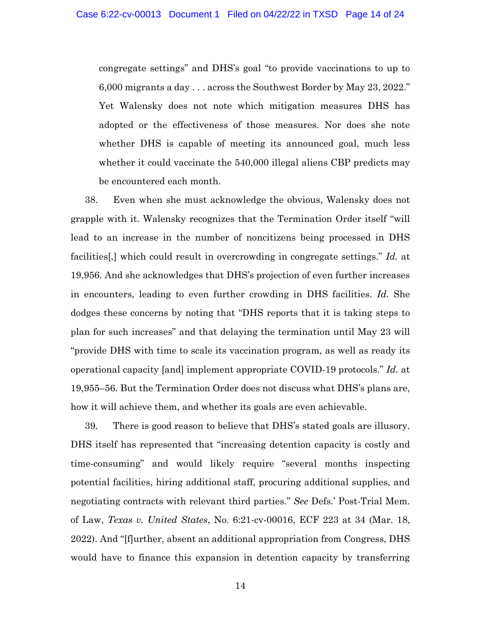congregate settings" and DHS's goal "to provide vaccinations to up to 6,000 migrants a day . . . across the Southwest Border by May 23, 2022." Yet Walensky does not note which mitigation measures DHS has adopted or the effectiveness of those measures. Nor does she note whether DHS is capable of meeting its announced goal, much less whether it could vaccinate the 540,000 illegal aliens CBP predicts may be encountered each month.

38. Even when she must acknowledge the obvious, Walensky does not grapple with it. Walensky recognizes that the Termination Order itself "will lead to an increase in the number of noncitizens being processed in DHS facilities[,] which could result in overcrowding in congregate settings." *Id.* at 19,956. And she acknowledges that DHS's projection of even further increases in encounters, leading to even further crowding in DHS facilities. *Id.* She dodges these concerns by noting that "DHS reports that it is taking steps to plan for such increases" and that delaying the termination until May 23 will "provide DHS with time to scale its vaccination program, as well as ready its operational capacity [and] implement appropriate COVID-19 protocols." *Id.* at 19,955–56. But the Termination Order does not discuss what DHS's plans are, how it will achieve them, and whether its goals are even achievable.

39. There is good reason to believe that DHS's stated goals are illusory. DHS itself has represented that "increasing detention capacity is costly and time-consuming" and would likely require "several months inspecting potential facilities, hiring additional staff, procuring additional supplies, and negotiating contracts with relevant third parties." *See* Defs.' Post-Trial Mem. of Law, *Texas v. United States*, No. 6:21-cv-00016, ECF 223 at 34 (Mar. 18, 2022). And "[f]urther, absent an additional appropriation from Congress, DHS would have to finance this expansion in detention capacity by transferring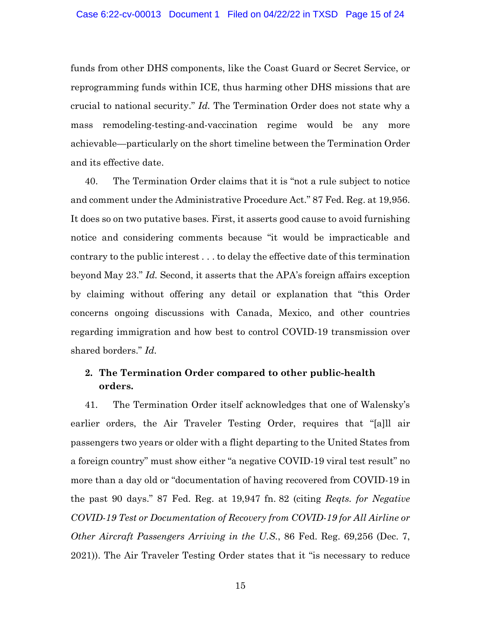funds from other DHS components, like the Coast Guard or Secret Service, or reprogramming funds within ICE, thus harming other DHS missions that are crucial to national security." *Id.* The Termination Order does not state why a mass remodeling-testing-and-vaccination regime would be any more achievable—particularly on the short timeline between the Termination Order and its effective date.

40. The Termination Order claims that it is "not a rule subject to notice and comment under the Administrative Procedure Act." 87 Fed. Reg. at 19,956. It does so on two putative bases. First, it asserts good cause to avoid furnishing notice and considering comments because "it would be impracticable and contrary to the public interest . . . to delay the effective date of this termination beyond May 23." *Id.* Second, it asserts that the APA's foreign affairs exception by claiming without offering any detail or explanation that "this Order concerns ongoing discussions with Canada, Mexico, and other countries regarding immigration and how best to control COVID-19 transmission over shared borders." *Id.*

# **2. The Termination Order compared to other public-health orders.**

41. The Termination Order itself acknowledges that one of Walensky's earlier orders, the Air Traveler Testing Order, requires that "[a]ll air passengers two years or older with a flight departing to the United States from a foreign country" must show either "a negative COVID-19 viral test result" no more than a day old or "documentation of having recovered from COVID-19 in the past 90 days." 87 Fed. Reg. at 19,947 fn. 82 (citing *Reqts. for Negative COVID-19 Test or Documentation of Recovery from COVID-19 for All Airline or Other Aircraft Passengers Arriving in the U.S.*, 86 Fed. Reg. 69,256 (Dec. 7, 2021)). The Air Traveler Testing Order states that it "is necessary to reduce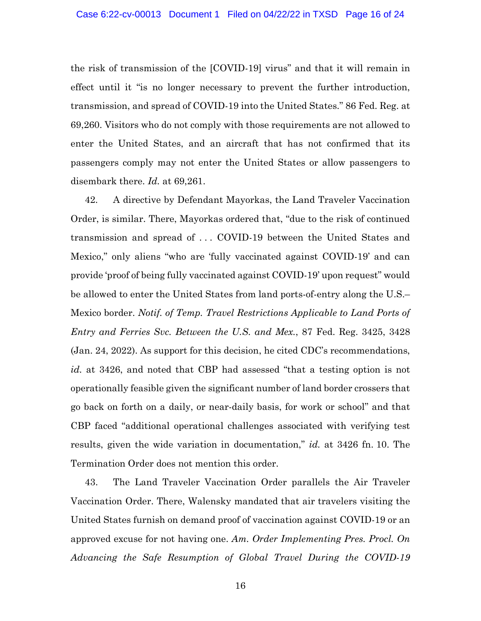the risk of transmission of the [COVID-19] virus" and that it will remain in effect until it "is no longer necessary to prevent the further introduction, transmission, and spread of COVID-19 into the United States." 86 Fed. Reg. at 69,260. Visitors who do not comply with those requirements are not allowed to enter the United States, and an aircraft that has not confirmed that its passengers comply may not enter the United States or allow passengers to disembark there. *Id.* at 69,261.

42. A directive by Defendant Mayorkas, the Land Traveler Vaccination Order, is similar. There, Mayorkas ordered that, "due to the risk of continued transmission and spread of . . . COVID-19 between the United States and Mexico," only aliens "who are 'fully vaccinated against COVID-19' and can provide 'proof of being fully vaccinated against COVID-19' upon request" would be allowed to enter the United States from land ports-of-entry along the U.S.– Mexico border. *Notif. of Temp. Travel Restrictions Applicable to Land Ports of Entry and Ferries Svc. Between the U.S. and Mex.*, 87 Fed. Reg. 3425, 3428 (Jan. 24, 2022). As support for this decision, he cited CDC's recommendations, *id.* at 3426, and noted that CBP had assessed "that a testing option is not operationally feasible given the significant number of land border crossers that go back on forth on a daily, or near-daily basis, for work or school" and that CBP faced "additional operational challenges associated with verifying test results, given the wide variation in documentation," *id.* at 3426 fn. 10. The Termination Order does not mention this order.

43. The Land Traveler Vaccination Order parallels the Air Traveler Vaccination Order. There, Walensky mandated that air travelers visiting the United States furnish on demand proof of vaccination against COVID-19 or an approved excuse for not having one. *Am. Order Implementing Pres. Procl. On Advancing the Safe Resumption of Global Travel During the COVID-19*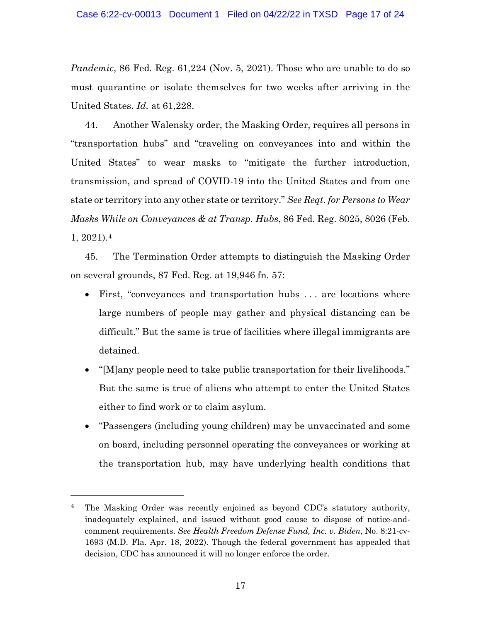*Pandemic*, 86 Fed. Reg. 61,224 (Nov. 5, 2021). Those who are unable to do so must quarantine or isolate themselves for two weeks after arriving in the United States. *Id.* at 61,228.

44. Another Walensky order, the Masking Order, requires all persons in "transportation hubs" and "traveling on conveyances into and within the United States" to wear masks to "mitigate the further introduction, transmission, and spread of COVID-19 into the United States and from one state or territory into any other state or territory." *See Reqt. for Persons to Wear Masks While on Conveyances & at Transp. Hubs*, 86 Fed. Reg. 8025, 8026 (Feb. 1, 2021).[4](#page-16-0)

45. The Termination Order attempts to distinguish the Masking Order on several grounds, 87 Fed. Reg. at 19,946 fn. 57:

- First, "conveyances and transportation hubs ... are locations where large numbers of people may gather and physical distancing can be difficult." But the same is true of facilities where illegal immigrants are detained.
- "[M]any people need to take public transportation for their livelihoods." But the same is true of aliens who attempt to enter the United States either to find work or to claim asylum.
- "Passengers (including young children) may be unvaccinated and some on board, including personnel operating the conveyances or working at the transportation hub, may have underlying health conditions that

<span id="page-16-0"></span><sup>&</sup>lt;sup>4</sup> The Masking Order was recently enjoined as beyond CDC's statutory authority, inadequately explained, and issued without good cause to dispose of notice-andcomment requirements. *See Health Freedom Defense Fund, Inc. v. Biden*, No. 8:21-cv-1693 (M.D. Fla. Apr. 18, 2022). Though the federal government has appealed that decision, CDC has announced it will no longer enforce the order.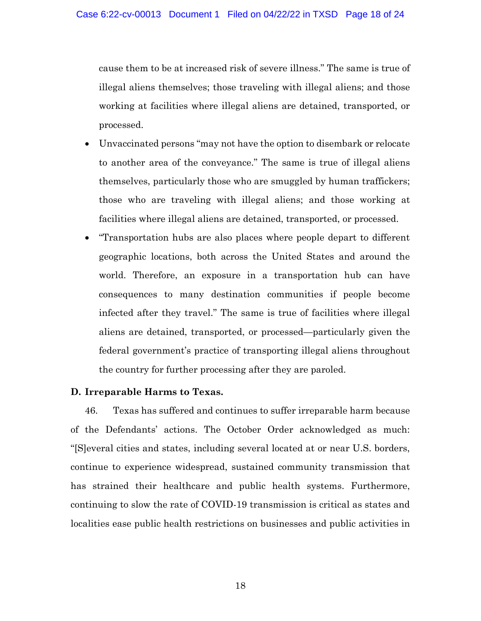cause them to be at increased risk of severe illness." The same is true of illegal aliens themselves; those traveling with illegal aliens; and those working at facilities where illegal aliens are detained, transported, or processed.

- Unvaccinated persons "may not have the option to disembark or relocate to another area of the conveyance." The same is true of illegal aliens themselves, particularly those who are smuggled by human traffickers; those who are traveling with illegal aliens; and those working at facilities where illegal aliens are detained, transported, or processed.
- "Transportation hubs are also places where people depart to different geographic locations, both across the United States and around the world. Therefore, an exposure in a transportation hub can have consequences to many destination communities if people become infected after they travel." The same is true of facilities where illegal aliens are detained, transported, or processed—particularly given the federal government's practice of transporting illegal aliens throughout the country for further processing after they are paroled.

## **D. Irreparable Harms to Texas.**

46. Texas has suffered and continues to suffer irreparable harm because of the Defendants' actions. The October Order acknowledged as much: "[S]everal cities and states, including several located at or near U.S. borders, continue to experience widespread, sustained community transmission that has strained their healthcare and public health systems. Furthermore, continuing to slow the rate of COVID-19 transmission is critical as states and localities ease public health restrictions on businesses and public activities in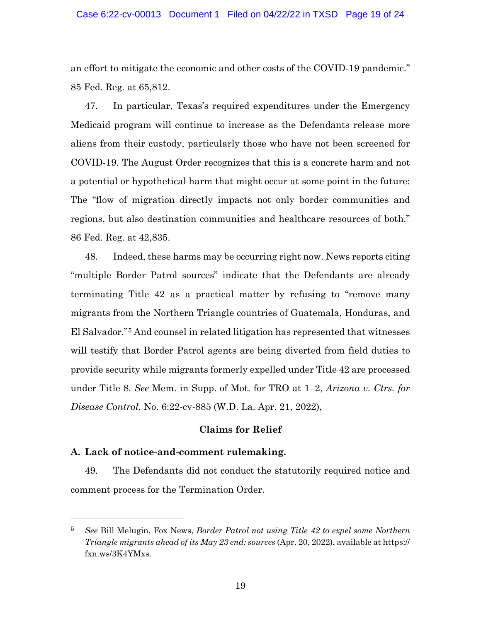an effort to mitigate the economic and other costs of the COVID-19 pandemic." 85 Fed. Reg. at 65,812.

47. In particular, Texas's required expenditures under the Emergency Medicaid program will continue to increase as the Defendants release more aliens from their custody, particularly those who have not been screened for COVID-19. The August Order recognizes that this is a concrete harm and not a potential or hypothetical harm that might occur at some point in the future: The "flow of migration directly impacts not only border communities and regions, but also destination communities and healthcare resources of both." 86 Fed. Reg. at 42,835.

48. Indeed, these harms may be occurring right now. News reports citing "multiple Border Patrol sources" indicate that the Defendants are already terminating Title 42 as a practical matter by refusing to "remove many migrants from the Northern Triangle countries of Guatemala, Honduras, and El Salvador."[5](#page-18-0) And counsel in related litigation has represented that witnesses will testify that Border Patrol agents are being diverted from field duties to provide security while migrants formerly expelled under Title 42 are processed under Title 8. *See* Mem. in Supp. of Mot. for TRO at 1–2, *Arizona v. Ctrs. for Disease Control*, No. 6:22-cv-885 (W.D. La. Apr. 21, 2022),

## **Claims for Relief**

## **A. Lack of notice-and-comment rulemaking.**

49. The Defendants did not conduct the statutorily required notice and comment process for the Termination Order.

<span id="page-18-0"></span><sup>5</sup> *See* Bill Melugin, Fox News, *Border Patrol not using Title 42 to expel some Northern Triangle migrants ahead of its May 23 end: sources* (Apr. 20, 2022), available at https:// fxn.ws/3K4YMxs.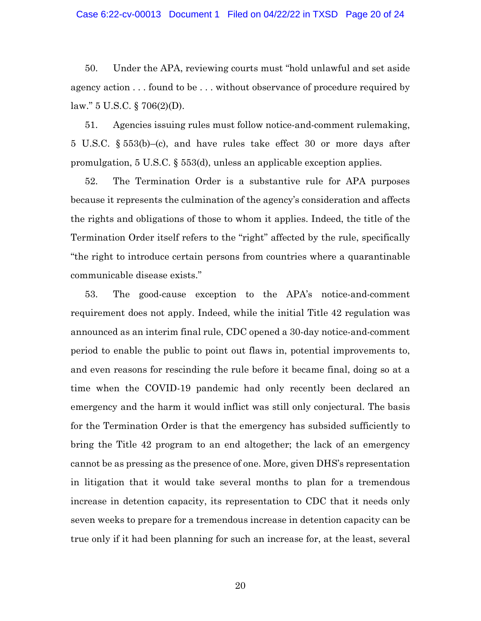50. Under the APA, reviewing courts must "hold unlawful and set aside agency action . . . found to be . . . without observance of procedure required by law." 5 U.S.C. § 706(2)(D).

51. Agencies issuing rules must follow notice-and-comment rulemaking, 5 U.S.C. § 553(b)–(c), and have rules take effect 30 or more days after promulgation, 5 U.S.C. § 553(d), unless an applicable exception applies.

52. The Termination Order is a substantive rule for APA purposes because it represents the culmination of the agency's consideration and affects the rights and obligations of those to whom it applies. Indeed, the title of the Termination Order itself refers to the "right" affected by the rule, specifically "the right to introduce certain persons from countries where a quarantinable communicable disease exists."

53. The good-cause exception to the APA's notice-and-comment requirement does not apply. Indeed, while the initial Title 42 regulation was announced as an interim final rule, CDC opened a 30-day notice-and-comment period to enable the public to point out flaws in, potential improvements to, and even reasons for rescinding the rule before it became final, doing so at a time when the COVID-19 pandemic had only recently been declared an emergency and the harm it would inflict was still only conjectural. The basis for the Termination Order is that the emergency has subsided sufficiently to bring the Title 42 program to an end altogether; the lack of an emergency cannot be as pressing as the presence of one. More, given DHS's representation in litigation that it would take several months to plan for a tremendous increase in detention capacity, its representation to CDC that it needs only seven weeks to prepare for a tremendous increase in detention capacity can be true only if it had been planning for such an increase for, at the least, several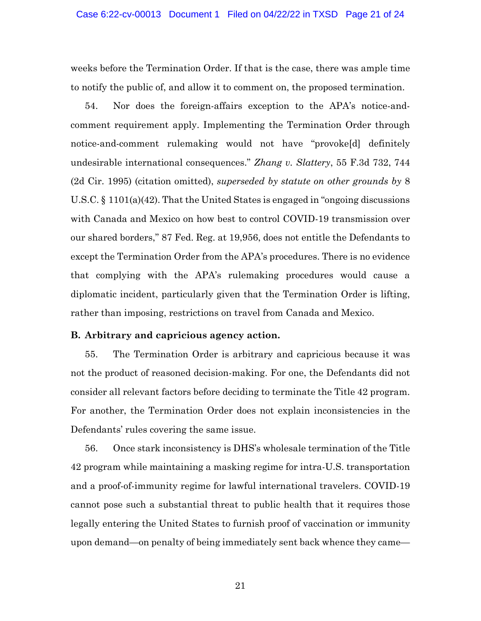weeks before the Termination Order. If that is the case, there was ample time to notify the public of, and allow it to comment on, the proposed termination.

54. Nor does the foreign-affairs exception to the APA's notice-andcomment requirement apply. Implementing the Termination Order through notice-and-comment rulemaking would not have "provoke[d] definitely undesirable international consequences." *Zhang v. Slattery*, 55 F.3d 732, 744 (2d Cir. 1995) (citation omitted), *superseded by statute on other grounds by* 8 U.S.C. § 1101(a)(42). That the United States is engaged in "ongoing discussions with Canada and Mexico on how best to control COVID-19 transmission over our shared borders," 87 Fed. Reg. at 19,956, does not entitle the Defendants to except the Termination Order from the APA's procedures. There is no evidence that complying with the APA's rulemaking procedures would cause a diplomatic incident, particularly given that the Termination Order is lifting, rather than imposing, restrictions on travel from Canada and Mexico.

#### **B. Arbitrary and capricious agency action.**

55. The Termination Order is arbitrary and capricious because it was not the product of reasoned decision-making. For one, the Defendants did not consider all relevant factors before deciding to terminate the Title 42 program. For another, the Termination Order does not explain inconsistencies in the Defendants' rules covering the same issue.

56. Once stark inconsistency is DHS's wholesale termination of the Title 42 program while maintaining a masking regime for intra-U.S. transportation and a proof-of-immunity regime for lawful international travelers. COVID-19 cannot pose such a substantial threat to public health that it requires those legally entering the United States to furnish proof of vaccination or immunity upon demand—on penalty of being immediately sent back whence they came—

21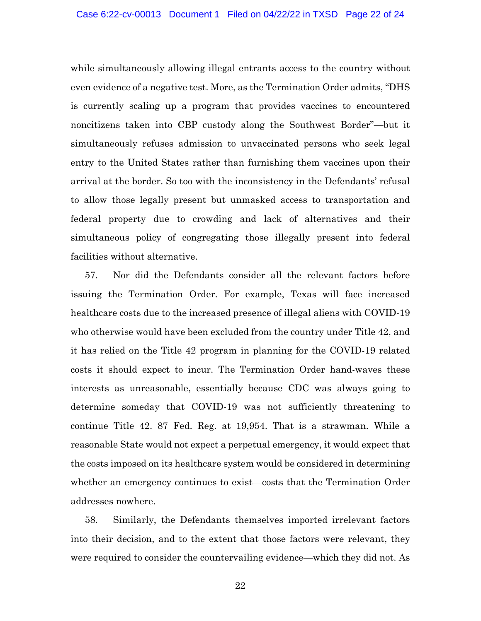while simultaneously allowing illegal entrants access to the country without even evidence of a negative test. More, as the Termination Order admits, "DHS is currently scaling up a program that provides vaccines to encountered noncitizens taken into CBP custody along the Southwest Border"—but it simultaneously refuses admission to unvaccinated persons who seek legal entry to the United States rather than furnishing them vaccines upon their arrival at the border. So too with the inconsistency in the Defendants' refusal to allow those legally present but unmasked access to transportation and federal property due to crowding and lack of alternatives and their simultaneous policy of congregating those illegally present into federal facilities without alternative.

57. Nor did the Defendants consider all the relevant factors before issuing the Termination Order. For example, Texas will face increased healthcare costs due to the increased presence of illegal aliens with COVID-19 who otherwise would have been excluded from the country under Title 42, and it has relied on the Title 42 program in planning for the COVID-19 related costs it should expect to incur. The Termination Order hand-waves these interests as unreasonable, essentially because CDC was always going to determine someday that COVID-19 was not sufficiently threatening to continue Title 42. 87 Fed. Reg. at 19,954. That is a strawman. While a reasonable State would not expect a perpetual emergency, it would expect that the costs imposed on its healthcare system would be considered in determining whether an emergency continues to exist—costs that the Termination Order addresses nowhere.

58. Similarly, the Defendants themselves imported irrelevant factors into their decision, and to the extent that those factors were relevant, they were required to consider the countervailing evidence—which they did not. As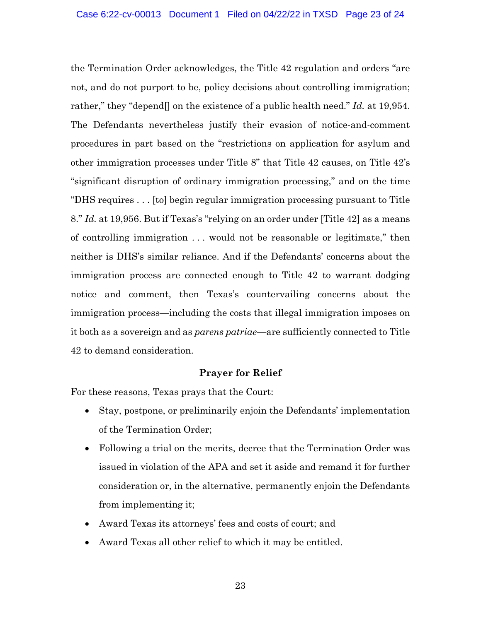the Termination Order acknowledges, the Title 42 regulation and orders "are not, and do not purport to be, policy decisions about controlling immigration; rather," they "depend[] on the existence of a public health need." *Id.* at 19,954. The Defendants nevertheless justify their evasion of notice-and-comment procedures in part based on the "restrictions on application for asylum and other immigration processes under Title 8" that Title 42 causes, on Title 42's "significant disruption of ordinary immigration processing," and on the time "DHS requires . . . [to] begin regular immigration processing pursuant to Title 8." *Id.* at 19,956. But if Texas's "relying on an order under [Title 42] as a means of controlling immigration . . . would not be reasonable or legitimate," then neither is DHS's similar reliance. And if the Defendants' concerns about the immigration process are connected enough to Title 42 to warrant dodging notice and comment, then Texas's countervailing concerns about the immigration process—including the costs that illegal immigration imposes on it both as a sovereign and as *parens patriae*—are sufficiently connected to Title 42 to demand consideration.

## **Prayer for Relief**

For these reasons, Texas prays that the Court:

- Stay, postpone, or preliminarily enjoin the Defendants' implementation of the Termination Order;
- Following a trial on the merits, decree that the Termination Order was issued in violation of the APA and set it aside and remand it for further consideration or, in the alternative, permanently enjoin the Defendants from implementing it;
- Award Texas its attorneys' fees and costs of court; and
- Award Texas all other relief to which it may be entitled.